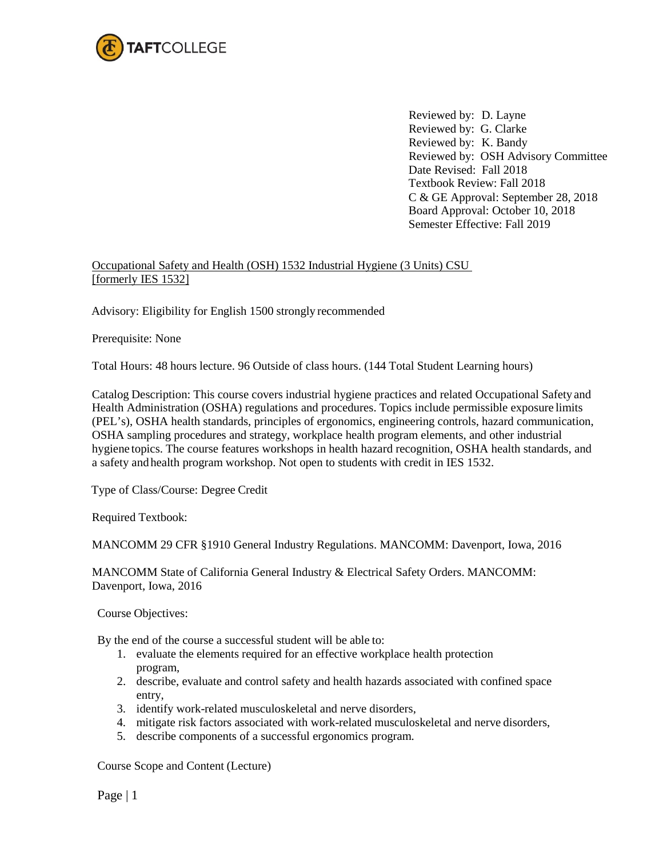

Reviewed by: D. Layne Reviewed by: G. Clarke Reviewed by: K. Bandy Reviewed by: OSH Advisory Committee Date Revised: Fall 2018 Textbook Review: Fall 2018 C & GE Approval: September 28, 2018 Board Approval: October 10, 2018 Semester Effective: Fall 2019

## Occupational Safety and Health (OSH) 1532 Industrial Hygiene (3 Units) CSU [formerly IES 1532]

Advisory: Eligibility for English 1500 strongly recommended

Prerequisite: None

Total Hours: 48 hours lecture. 96 Outside of class hours. (144 Total Student Learning hours)

Catalog Description: This course covers industrial hygiene practices and related Occupational Safety and Health Administration (OSHA) regulations and procedures. Topics include permissible exposure limits (PEL's), OSHA health standards, principles of ergonomics, engineering controls, hazard communication, OSHA sampling procedures and strategy, workplace health program elements, and other industrial hygiene topics. The course features workshops in health hazard recognition, OSHA health standards, and a safety and health program workshop. Not open to students with credit in IES 1532.

Type of Class/Course: Degree Credit

Required Textbook:

MANCOMM 29 CFR §1910 General Industry Regulations. MANCOMM: Davenport, Iowa, 2016

MANCOMM State of California General Industry & Electrical Safety Orders. MANCOMM: Davenport, Iowa, 2016

Course Objectives:

By the end of the course a successful student will be able to:

- 1. evaluate the elements required for an effective workplace health protection program,
- 2. describe, evaluate and control safety and health hazards associated with confined space entry,
- 3. identify work-related musculoskeletal and nerve disorders,
- 4. mitigate risk factors associated with work-related musculoskeletal and nerve disorders,
- 5. describe components of a successful ergonomics program.

Course Scope and Content (Lecture)

Page | 1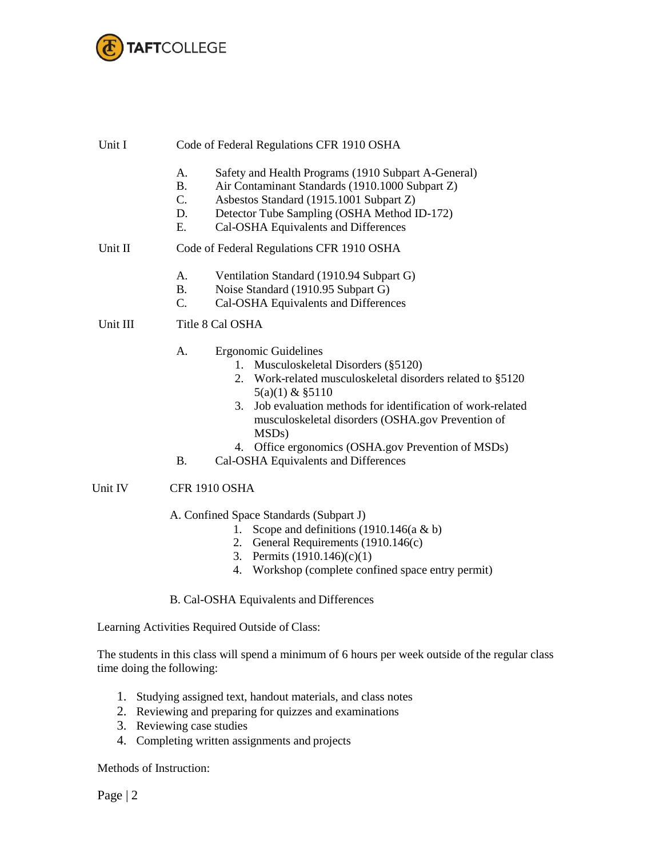

| Unit I   | Code of Federal Regulations CFR 1910 OSHA                                                                                                                                                                                                                              |  |  |
|----------|------------------------------------------------------------------------------------------------------------------------------------------------------------------------------------------------------------------------------------------------------------------------|--|--|
|          | Α.<br>Safety and Health Programs (1910 Subpart A-General)<br>Air Contaminant Standards (1910.1000 Subpart Z)<br>B.<br>C.<br>Asbestos Standard (1915.1001 Subpart Z)<br>Detector Tube Sampling (OSHA Method ID-172)<br>D.<br>Cal-OSHA Equivalents and Differences<br>Е. |  |  |
| Unit II  | Code of Federal Regulations CFR 1910 OSHA                                                                                                                                                                                                                              |  |  |
|          | Ventilation Standard (1910.94 Subpart G)<br>А.<br>Noise Standard (1910.95 Subpart G)<br>B.<br>Cal-OSHA Equivalents and Differences<br>C.                                                                                                                               |  |  |
| Unit III | Title 8 Cal OSHA                                                                                                                                                                                                                                                       |  |  |
|          | Ergonomic Guidelines<br>А.<br>1. Musculoskeletal Disorders (§5120)<br>2. Work-related musculoskeletal disorders related to §5120<br>$5(a)(1)$ & $$5110$                                                                                                                |  |  |

- 3. Job evaluation methods for identification of work-related musculoskeletal disorders (OSHA.gov Prevention of MSDs)
- 4. Office ergonomics (OSHA.gov Prevention of MSDs)
- B. Cal-OSHA Equivalents and Differences

## Unit IV CFR 1910 OSHA

A. Confined Space Standards (Subpart J)

- 1. Scope and definitions (1910.146(a & b)
- 2. General Requirements (1910.146(c)
- 3. Permits (1910.146)(c)(1)
- 4. Workshop (complete confined space entry permit)

## B. Cal-OSHA Equivalents and Differences

Learning Activities Required Outside of Class:

The students in this class will spend a minimum of 6 hours per week outside of the regular class time doing the following:

- 1. Studying assigned text, handout materials, and class notes
- 2. Reviewing and preparing for quizzes and examinations
- 3. Reviewing case studies
- 4. Completing written assignments and projects

Methods of Instruction:

Page | 2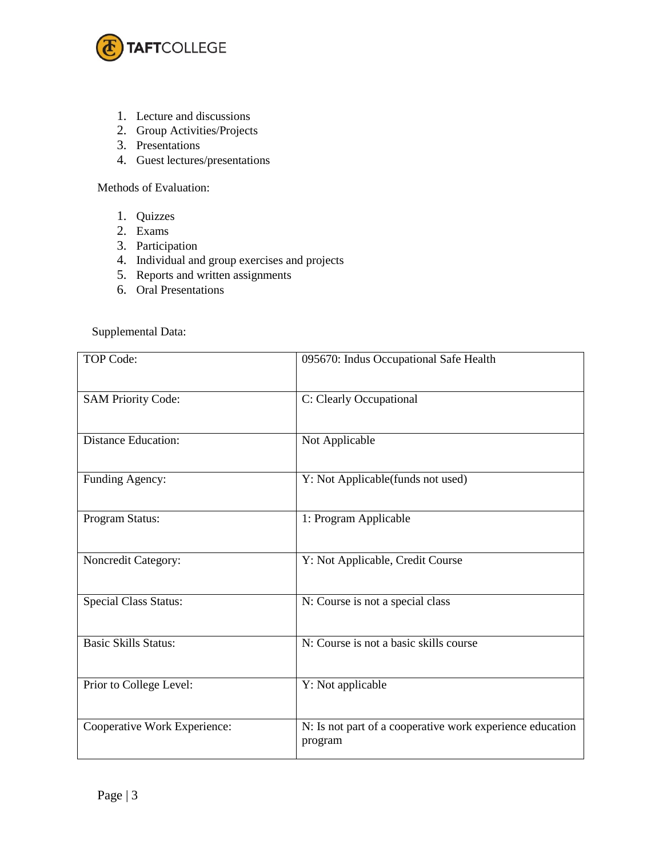

- 1. Lecture and discussions
- 2. Group Activities/Projects
- 3. Presentations
- 4. Guest lectures/presentations

Methods of Evaluation:

- 1. Quizzes
- 2. Exams
- 3. Participation
- 4. Individual and group exercises and projects
- 5. Reports and written assignments
- 6. Oral Presentations

Supplemental Data:

| TOP Code:                    | 095670: Indus Occupational Safe Health                               |
|------------------------------|----------------------------------------------------------------------|
| <b>SAM Priority Code:</b>    | C: Clearly Occupational                                              |
| <b>Distance Education:</b>   | Not Applicable                                                       |
| Funding Agency:              | Y: Not Applicable(funds not used)                                    |
| Program Status:              | 1: Program Applicable                                                |
| Noncredit Category:          | Y: Not Applicable, Credit Course                                     |
| <b>Special Class Status:</b> | N: Course is not a special class                                     |
| <b>Basic Skills Status:</b>  | N: Course is not a basic skills course                               |
| Prior to College Level:      | Y: Not applicable                                                    |
| Cooperative Work Experience: | N: Is not part of a cooperative work experience education<br>program |